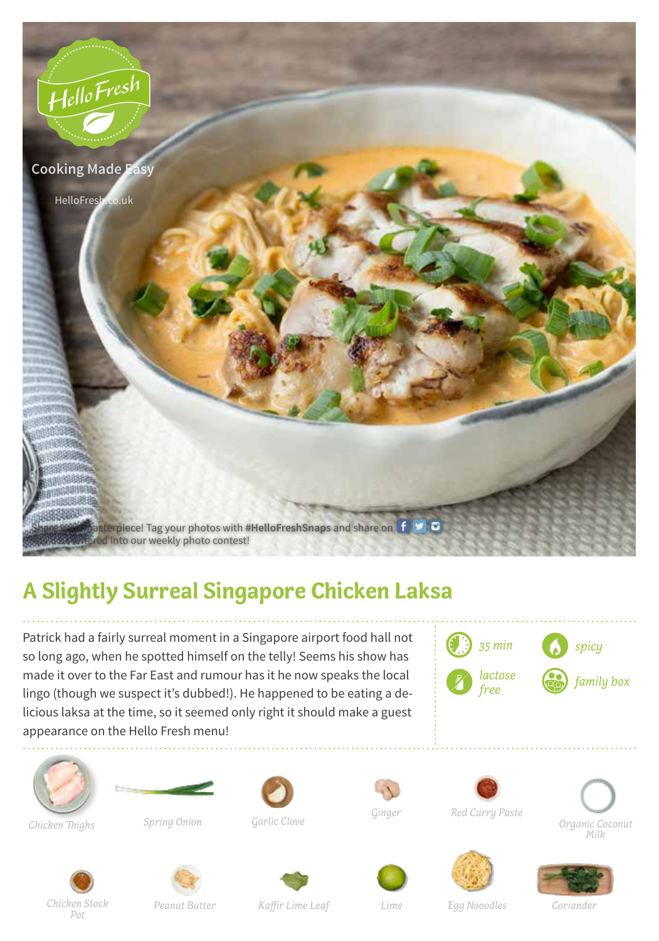

## **A Slightly Surreal Singapore Chicken Laksa**

Patrick had a fairly surreal moment in a Singapore airport food hall not so long ago, when he spotted himself on the telly! Seems his show has made it over to the Far East and rumour has it he now speaks the local lingo (though we suspect it's dubbed!). He happened to be eating a delicious laksa at the time, so it seemed only right it should make a guest appearance on the Hello Fresh menu!







*Chicken Thighs*

*Spring Onion*



*Garlic Clove*



*Red Curry Paste*







*Chicken Stock Pot*



*Kaffir Lime Leaf*

*Lime Egg Nooodles Coriander*